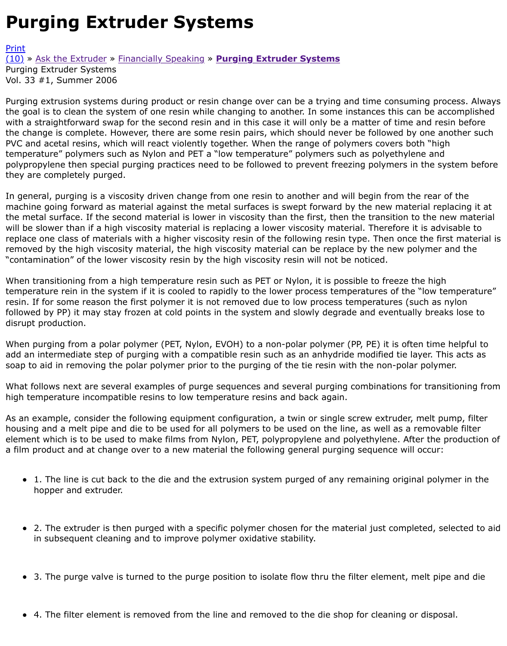Purging extrusion systems during product or resin change over can be a trying and time consuming the goal is to clean the system of one resin while changing to another. In some instances this can be with a straightforward swap for the second resin and in this case it will only be a matter of time and [the c](http://extrusionwiki.com/wiki/Print.aspx?Page=CC-V33-1-D)hange is complete. However, there are some resin pairs, which should never be followed by on [PVC](http://extrusionwiki.com/wiki/CC-V33-1-D.ashx#) a[nd acetal resins, w](http://extrusionwiki.com/wiki/CC-V33-1-B.ashx)hi[ch will react violently](http://extrusionwiki.com/wiki/CC-V33-1-C.ashx) t[ogether. When the range of po](http://extrusionwiki.com/wiki/CC-V33-1-D.ashx)lymers covers both " temperature" polymers such as Nylon and PET a "low temperature" polymers such as polyethylene a polypropylene then special purging practices need to be followed to prevent freezing polymers in the they are completely purged.

In general, purging is a viscosity driven change from one resin to another and will begin from the re machine going forward as material against the metal surfaces is swept forward by the new material the metal surface. If the second material is lower in viscosity than the first, then the transition to th will be slower than if a high viscosity material is replacing a lower viscosity material. Therefore it is replace one class of materials with a higher viscosity resin of the following resin type. Then once the removed by the high viscosity material, the high viscosity material can be replace by the new polym "contamination" of the lower viscosity resin by the high viscosity resin will not be noticed.

When transitioning from a high temperature resin such as PET or Nylon, it is possible to freeze the l temperature rein in the system if it is cooled to rapidly to the lower process temperatures of the "lo resin. If for some reason the first polymer it is not removed due to low process temperatures (such followed by PP) it may stay frozen at cold points in the system and slowly degrade and eventually b disrupt production.

When purging from a polar polymer (PET, Nylon, EVOH) to a non-polar polymer (PP, PE) it is often t add an intermediate step of purging with a compatible resin such as an anhydride modified tie layer. soap to aid in removing the polar polymer prior to the purging of the tie resin with the non-polar po

What follows next are several examples of purge sequences and several purging combinations for transition high temperature incompatible resins to low temperature resins and back again.

As an example, consider the following equipment configuration, a twin or single screw extruder, mel housing and a melt pipe and die to be used for all polymers to be used on the line, as well as a rem element which is to be used to make films from Nylon, PET, polypropylene and polyethylene. After t a film product and at change over to a new material the following general purging sequence will occ

- $\bullet$  1. The line is cut back to the die and the extrusion system purged of any remaining original polymer in the the in the extrusion system purged of any remaining original polymer. hopper and extruder.
- 2. The extruder is then purged with a specific polymer chosen for the material just completed in subsequent cleaning and to improve polymer oxidative stability.
- 3. The purge valve is turned to the purge position to isolate flow thru the filter element, melt  $\bullet$
- 4. The filter element is removed from the line and removed to the die shop for cleaning or dis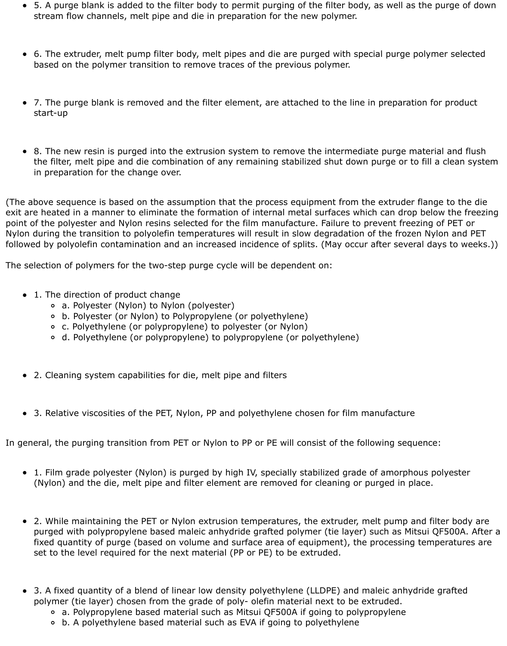- 5. A purge blank is added to the filter body to permit purging of the filter body, as well as the purge of down stream flow channels, melt pipe and die in preparation for the new polymer.
- 6. The extruder, melt pump filter body, melt pipes and die are purged with special purge polymer selected based on the polymer transition to remove traces of the previous polymer.
- 7. The purge blank is removed and the filter element, are attached to the line in preparation for product start-up
- 8. The new resin is purged into the extrusion system to remove the intermediate purge material and flush the filter, melt pipe and die combination of any remaining stabilized shut down purge or to fill a clean system in preparation for the change over.

(The above sequence is based on the assumption that the process equipment from the extruder flange to the die exit are heated in a manner to eliminate the formation of internal metal surfaces which can drop below the freezing point of the polyester and Nylon resins selected for the film manufacture. Failure to prevent freezing of PET or Nylon during the transition to polyolefin temperatures will result in slow degradation of the frozen Nylon and PET followed by polyolefin contamination and an increased incidence of splits. (May occur after several days to weeks.))

The selection of polymers for the two-step purge cycle will be dependent on:

- 1. The direction of product change
	- a. Polyester (Nylon) to Nylon (polyester)
	- b. Polyester (or Nylon) to Polypropylene (or polyethylene)
	- c. Polyethylene (or polypropylene) to polyester (or Nylon)
	- d. Polyethylene (or polypropylene) to polypropylene (or polyethylene)
- 2. Cleaning system capabilities for die, melt pipe and filters
- 3. Relative viscosities of the PET, Nylon, PP and polyethylene chosen for film manufacture

In general, the purging transition from PET or Nylon to PP or PE will consist of the following sequence:

- 1. Film grade polyester (Nylon) is purged by high IV, specially stabilized grade of amorphous polyester (Nylon) and the die, melt pipe and filter element are removed for cleaning or purged in place.
- 2. While maintaining the PET or Nylon extrusion temperatures, the extruder, melt pump and filter body are purged with polypropylene based maleic anhydride grafted polymer (tie layer) such as Mitsui QF500A. After a fixed quantity of purge (based on volume and surface area of equipment), the processing temperatures are set to the level required for the next material (PP or PE) to be extruded.
- 3. A fixed quantity of a blend of linear low density polyethylene (LLDPE) and maleic anhydride grafted polymer (tie layer) chosen from the grade of poly- olefin material next to be extruded.
	- a. Polypropylene based material such as Mitsui QF500A if going to polypropylene
	- b. A polyethylene based material such as EVA if going to polyethylene